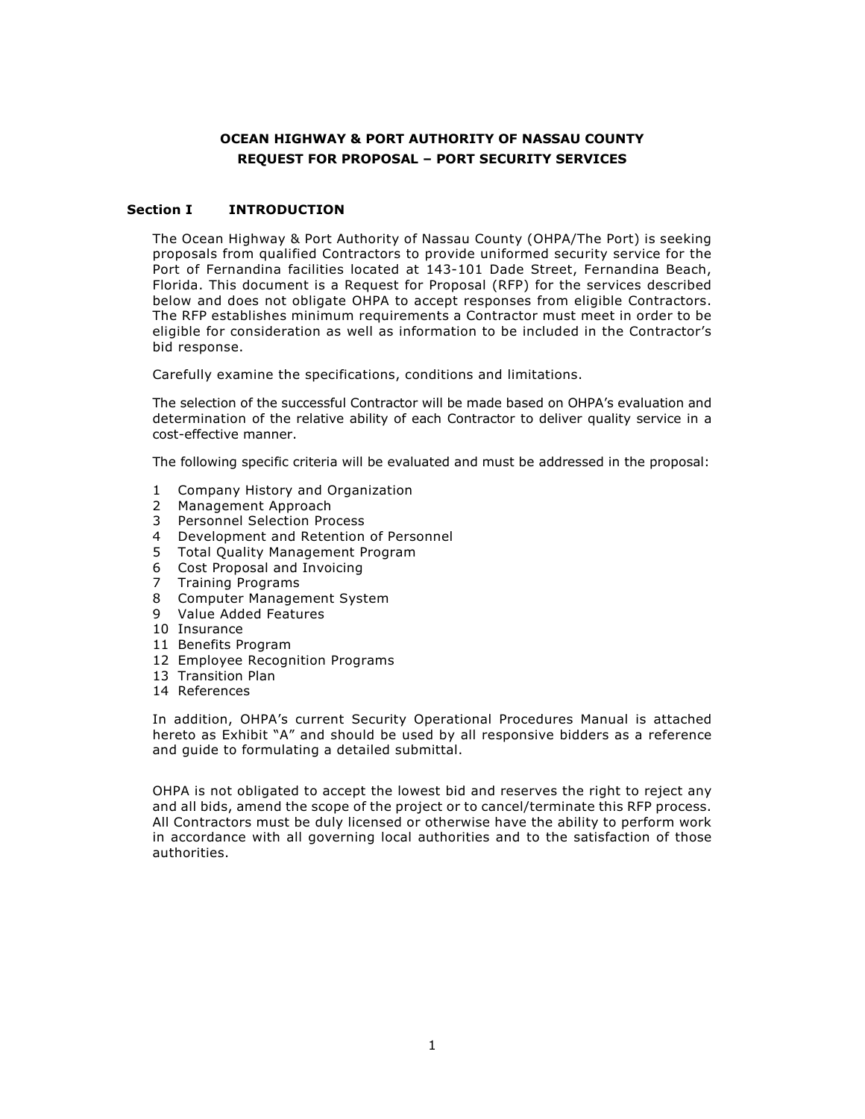## **OCEAN HIGHWAY & PORT AUTHORITY OF NASSAU COUNTY REQUEST FOR PROPOSAL – PORT SECURITY SERVICES**

## **Section I INTRODUCTION**

The Ocean Highway & Port Authority of Nassau County (OHPA/The Port) is seeking proposals from qualified Contractors to provide uniformed security service for the Port of Fernandina facilities located at 143-101 Dade Street, Fernandina Beach, Florida. This document is a Request for Proposal (RFP) for the services described below and does not obligate OHPA to accept responses from eligible Contractors. The RFP establishes minimum requirements a Contractor must meet in order to be eligible for consideration as well as information to be included in the Contractor's bid response.

Carefully examine the specifications, conditions and limitations.

The selection of the successful Contractor will be made based on OHPA's evaluation and determination of the relative ability of each Contractor to deliver quality service in a cost-effective manner.

The following specific criteria will be evaluated and must be addressed in the proposal:

- 1 Company History and Organization
- 2 Management Approach
- 3 Personnel Selection Process
- 4 Development and Retention of Personnel
- 5 Total Quality Management Program
- 6 Cost Proposal and Invoicing
- 7 Training Programs
- 8 Computer Management System
- 9 Value Added Features
- 10 Insurance
- 11 Benefits Program
- 12 Employee Recognition Programs
- 13 Transition Plan
- 14 References

In addition, OHPA's current Security Operational Procedures Manual is attached hereto as Exhibit "A" and should be used by all responsive bidders as a reference and guide to formulating a detailed submittal.

OHPA is not obligated to accept the lowest bid and reserves the right to reject any and all bids, amend the scope of the project or to cancel/terminate this RFP process. All Contractors must be duly licensed or otherwise have the ability to perform work in accordance with all governing local authorities and to the satisfaction of those authorities.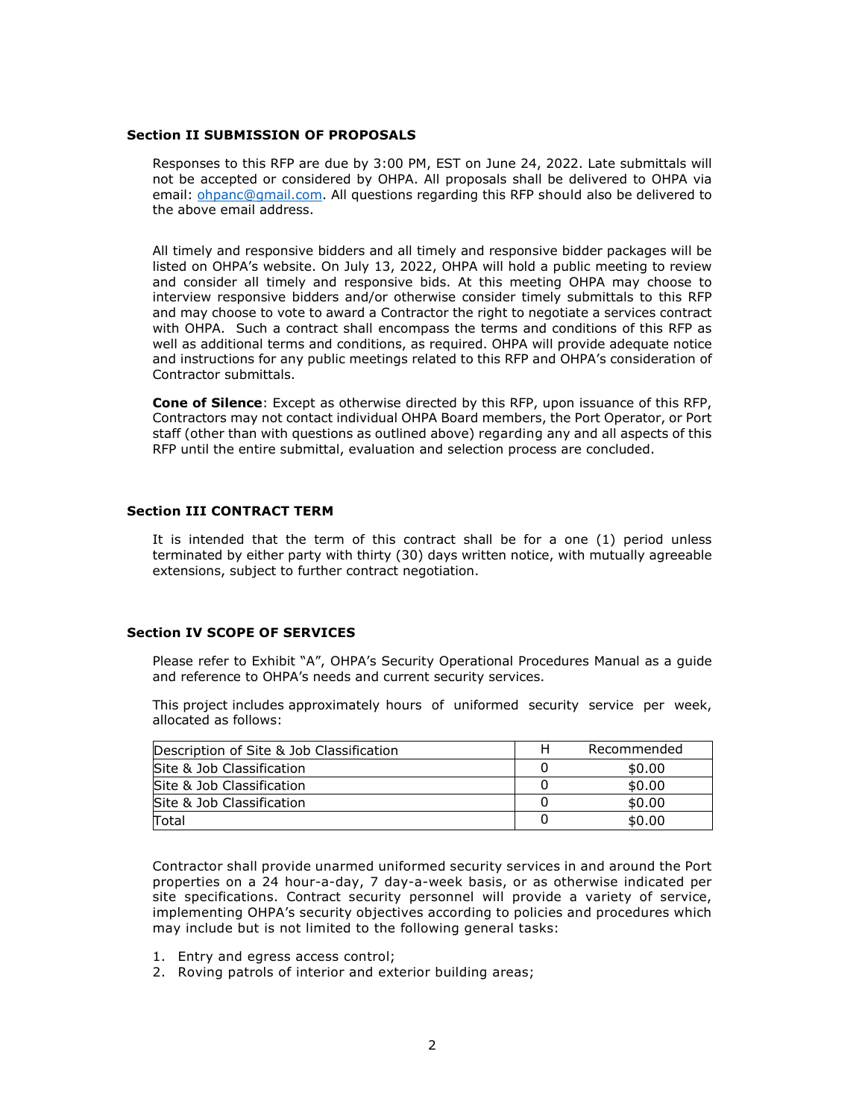#### **Section II SUBMISSION OF PROPOSALS**

Responses to this RFP are due by 3:00 PM, EST on June 24, 2022. Late submittals will not be accepted or considered by OHPA. All proposals shall be delivered to OHPA via email: [ohpanc@gmail.com.](mailto:ohpanc@gmail.com) All questions regarding this RFP should also be delivered to the above email address.

All timely and responsive bidders and all timely and responsive bidder packages will be listed on OHPA's website. On July 13, 2022, OHPA will hold a public meeting to review and consider all timely and responsive bids. At this meeting OHPA may choose to interview responsive bidders and/or otherwise consider timely submittals to this RFP and may choose to vote to award a Contractor the right to negotiate a services contract with OHPA. Such a contract shall encompass the terms and conditions of this RFP as well as additional terms and conditions, as required. OHPA will provide adequate notice and instructions for any public meetings related to this RFP and OHPA's consideration of Contractor submittals.

**Cone of Silence**: Except as otherwise directed by this RFP, upon issuance of this RFP, Contractors may not contact individual OHPA Board members, the Port Operator, or Port staff (other than with questions as outlined above) regarding any and all aspects of this RFP until the entire submittal, evaluation and selection process are concluded.

### **Section III CONTRACT TERM**

It is intended that the term of this contract shall be for a one (1) period unless terminated by either party with thirty (30) days written notice, with mutually agreeable extensions, subject to further contract negotiation.

### **Section IV SCOPE OF SERVICES**

Please refer to Exhibit "A", OHPA's Security Operational Procedures Manual as a guide and reference to OHPA's needs and current security services.

This project includes approximately hours of uniformed security service per week, allocated as follows:

| Description of Site & Job Classification | н | Recommended |
|------------------------------------------|---|-------------|
| Site & Job Classification                |   | \$0.00      |
| Site & Job Classification                |   | \$0.00      |
| Site & Job Classification                |   | \$0.00      |
| <b>Total</b>                             |   | \$0.00      |

Contractor shall provide unarmed uniformed security services in and around the Port properties on a 24 hour-a-day, 7 day-a-week basis, or as otherwise indicated per site specifications. Contract security personnel will provide a variety of service, implementing OHPA's security objectives according to policies and procedures which may include but is not limited to the following general tasks:

- 1. Entry and egress access control;
- 2. Roving patrols of interior and exterior building areas;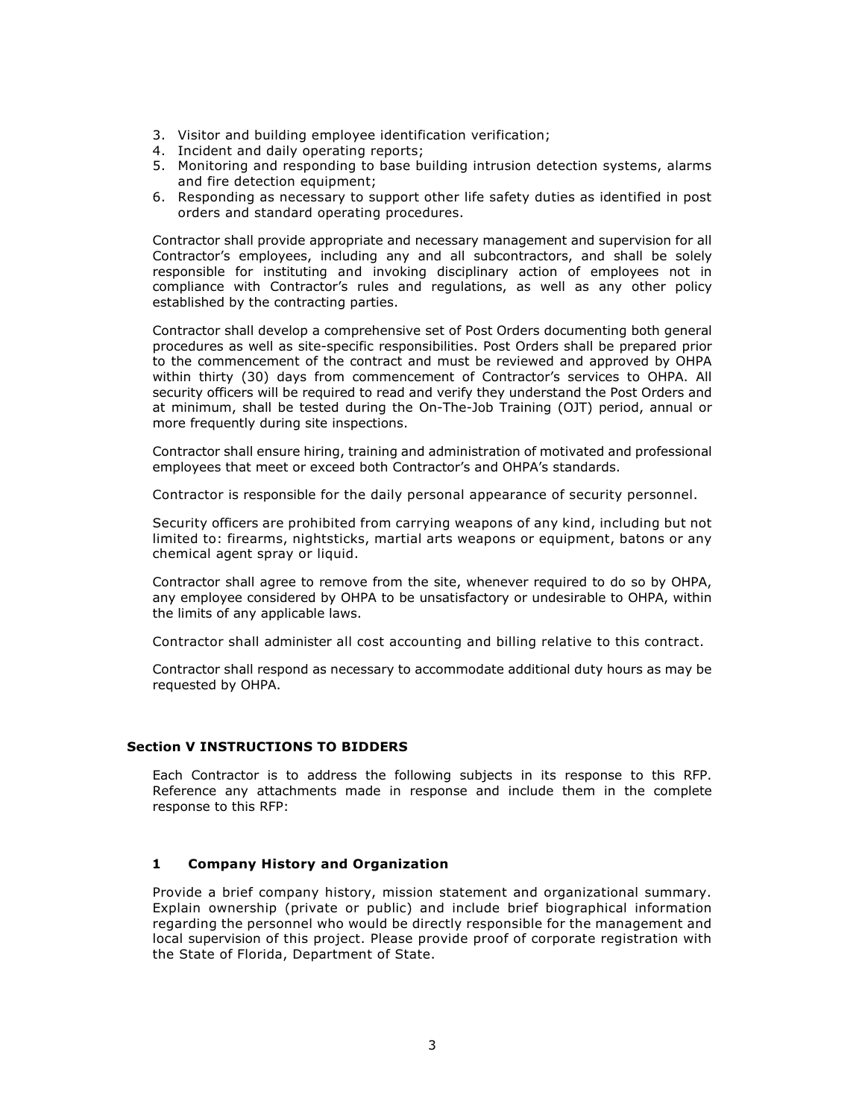- 3. Visitor and building employee identification verification;
- 4. Incident and daily operating reports;
- 5. Monitoring and responding to base building intrusion detection systems, alarms and fire detection equipment;
- 6. Responding as necessary to support other life safety duties as identified in post orders and standard operating procedures.

Contractor shall provide appropriate and necessary management and supervision for all Contractor's employees, including any and all subcontractors, and shall be solely responsible for instituting and invoking disciplinary action of employees not in compliance with Contractor's rules and regulations, as well as any other policy established by the contracting parties.

Contractor shall develop a comprehensive set of Post Orders documenting both general procedures as well as site-specific responsibilities. Post Orders shall be prepared prior to the commencement of the contract and must be reviewed and approved by OHPA within thirty (30) days from commencement of Contractor's services to OHPA. All security officers will be required to read and verify they understand the Post Orders and at minimum, shall be tested during the On-The-Job Training (OJT) period, annual or more frequently during site inspections.

Contractor shall ensure hiring, training and administration of motivated and professional employees that meet or exceed both Contractor's and OHPA's standards.

Contractor is responsible for the daily personal appearance of security personnel.

Security officers are prohibited from carrying weapons of any kind, including but not limited to: firearms, nightsticks, martial arts weapons or equipment, batons or any chemical agent spray or liquid.

Contractor shall agree to remove from the site, whenever required to do so by OHPA, any employee considered by OHPA to be unsatisfactory or undesirable to OHPA, within the limits of any applicable laws.

Contractor shall administer all cost accounting and billing relative to this contract.

Contractor shall respond as necessary to accommodate additional duty hours as may be requested by OHPA.

### **Section V INSTRUCTIONS TO BIDDERS**

Each Contractor is to address the following subjects in its response to this RFP. Reference any attachments made in response and include them in the complete response to this RFP:

#### **1 Company History and Organization**

Provide a brief company history, mission statement and organizational summary. Explain ownership (private or public) and include brief biographical information regarding the personnel who would be directly responsible for the management and local supervision of this project. Please provide proof of corporate registration with the State of Florida, Department of State.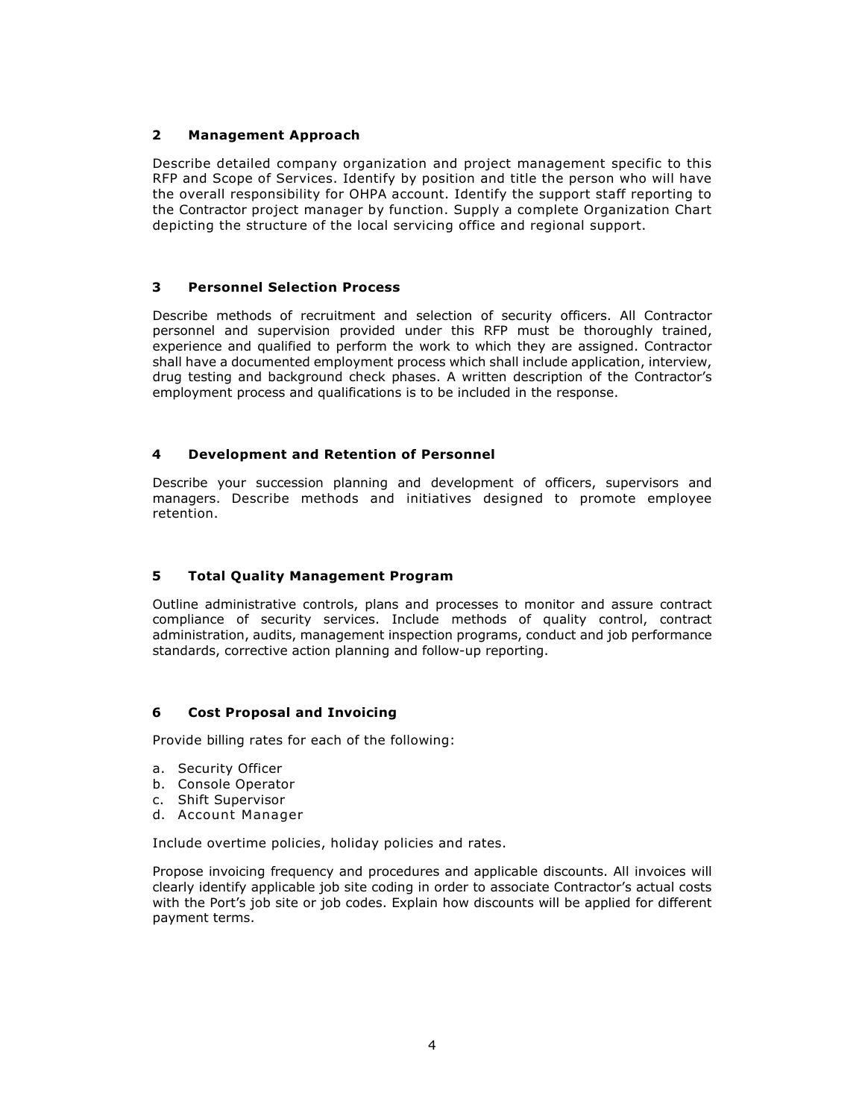## **2 Management Approach**

Describe detailed company organization and project management specific to this RFP and Scope of Services. Identify by position and title the person who will have the overall responsibility for OHPA account. Identify the support staff reporting to the Contractor project manager by function. Supply a complete Organization Chart depicting the structure of the local servicing office and regional support.

## **3 Personnel Selection Process**

Describe methods of recruitment and selection of security officers. All Contractor personnel and supervision provided under this RFP must be thoroughly trained, experience and qualified to perform the work to which they are assigned. Contractor shall have a documented employment process which shall include application, interview, drug testing and background check phases. A written description of the Contractor's employment process and qualifications is to be included in the response.

## **4 Development and Retention of Personnel**

Describe your succession planning and development of officers, supervisors and managers. Describe methods and initiatives designed to promote employee retention.

## **5 Total Quality Management Program**

Outline administrative controls, plans and processes to monitor and assure contract compliance of security services. Include methods of quality control, contract administration, audits, management inspection programs, conduct and job performance standards, corrective action planning and follow-up reporting.

## **6 Cost Proposal and Invoicing**

Provide billing rates for each of the following:

- a. Security Officer
- b. Console Operator
- c. Shift Supervisor
- d. Account Manager

Include overtime policies, holiday policies and rates.

Propose invoicing frequency and procedures and applicable discounts. All invoices will clearly identify applicable job site coding in order to associate Contractor's actual costs with the Port's job site or job codes. Explain how discounts will be applied for different payment terms.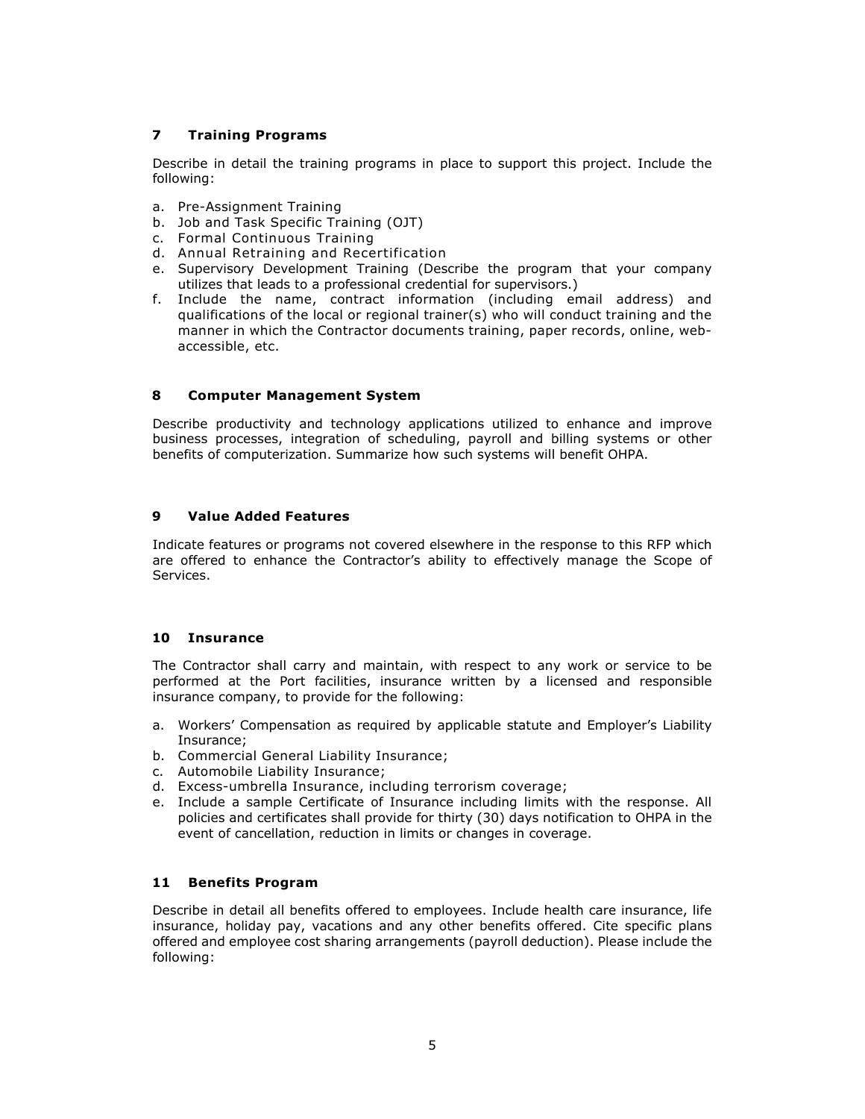## **7 Training Programs**

Describe in detail the training programs in place to support this project. Include the following:

- a. Pre-Assignment Training
- b. Job and Task Specific Training (OJT)
- c. Formal Continuous Training
- d. Annual Retraining and Recertification
- e. Supervisory Development Training (Describe the program that your company utilizes that leads to a professional credential for supervisors.)
- f. Include the name, contract information (including email address) and qualifications of the local or regional trainer(s) who will conduct training and the manner in which the Contractor documents training, paper records, online, webaccessible, etc.

### **8 Computer Management System**

Describe productivity and technology applications utilized to enhance and improve business processes, integration of scheduling, payroll and billing systems or other benefits of computerization. Summarize how such systems will benefit OHPA.

## **9 Value Added Features**

Indicate features or programs not covered elsewhere in the response to this RFP which are offered to enhance the Contractor's ability to effectively manage the Scope of Services.

## **10 Insurance**

The Contractor shall carry and maintain, with respect to any work or service to be performed at the Port facilities, insurance written by a licensed and responsible insurance company, to provide for the following:

- a. Workers' Compensation as required by applicable statute and Employer's Liability Insurance;
- b. Commercial General Liability Insurance;
- c. Automobile Liability Insurance;
- d. Excess-umbrella Insurance, including terrorism coverage;
- e. Include a sample Certificate of Insurance including limits with the response. All policies and certificates shall provide for thirty (30) days notification to OHPA in the event of cancellation, reduction in limits or changes in coverage.

## **11 Benefits Program**

Describe in detail all benefits offered to employees. Include health care insurance, life insurance, holiday pay, vacations and any other benefits offered. Cite specific plans offered and employee cost sharing arrangements (payroll deduction). Please include the following: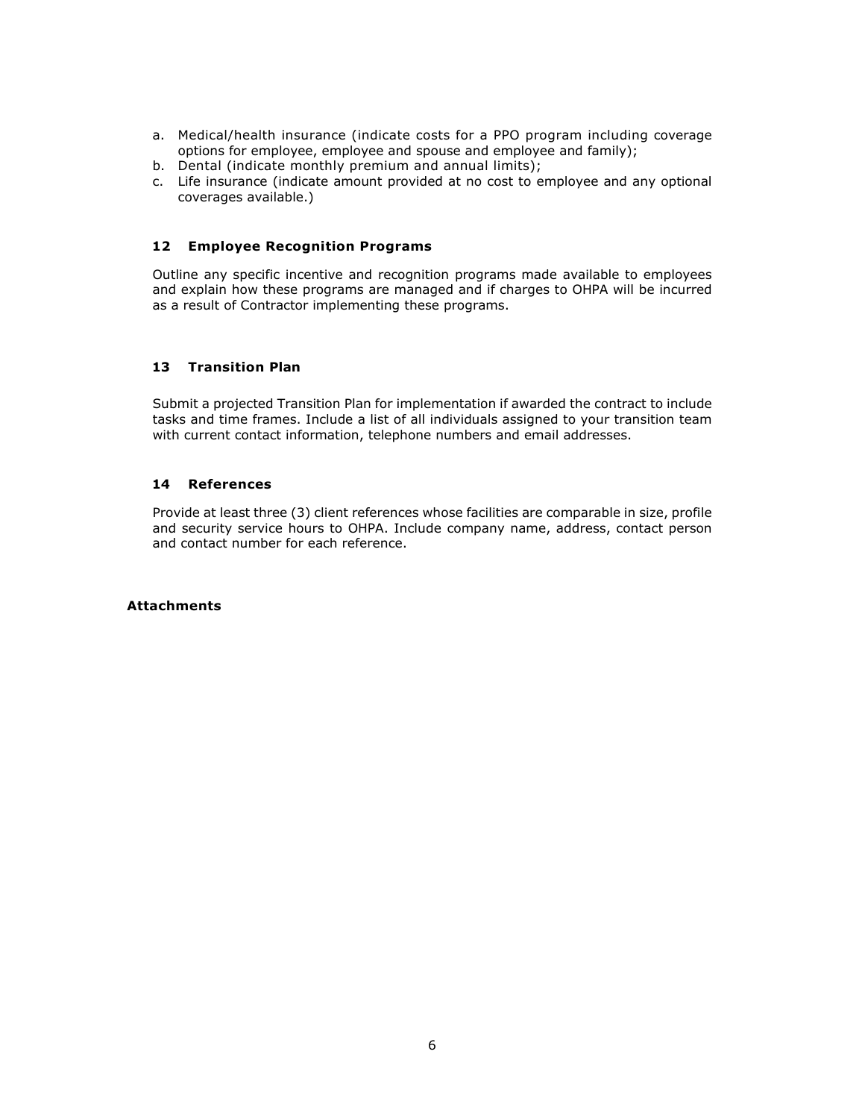- a. Medical/health insurance (indicate costs for a PPO program including coverage options for employee, employee and spouse and employee and family);
- b. Dental (indicate monthly premium and annual limits);
- c. Life insurance (indicate amount provided at no cost to employee and any optional coverages available.)

## **12 Employee Recognition Programs**

Outline any specific incentive and recognition programs made available to employees and explain how these programs are managed and if charges to OHPA will be incurred as a result of Contractor implementing these programs.

## **13 Transition Plan**

Submit a projected Transition Plan for implementation if awarded the contract to include tasks and time frames. Include a list of all individuals assigned to your transition team with current contact information, telephone numbers and email addresses.

## **14 References**

Provide at least three (3) client references whose facilities are comparable in size, profile and security service hours to OHPA. Include company name, address, contact person and contact number for each reference.

## **Attachments**